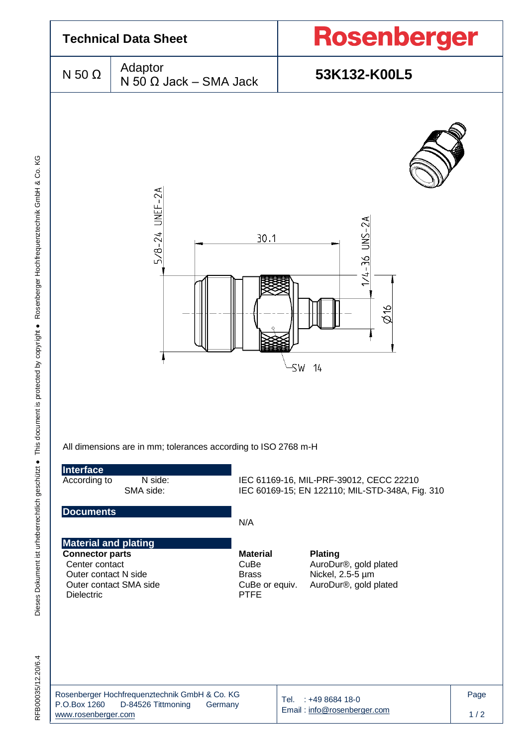